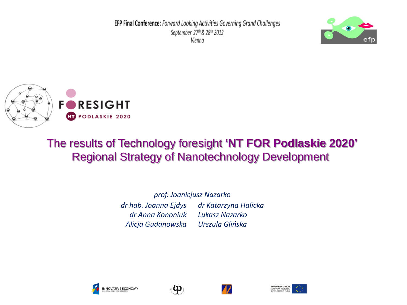**EFP Final Conference:** Forward Looking Activities Governing Grand Challenges September 27th & 28th 2012 Vienna





# The results of Technology foresight **'NT FOR Podlaskie 2020'**  Regional Strategy of Nanotechnology Development

*dr hab. Joanna Ejdys dr Anna Kononiuk Alicja Gudanowska dr Katarzyna Halicka Lukasz Nazarko Urszula Glińska prof. Joanicjusz Nazarko*











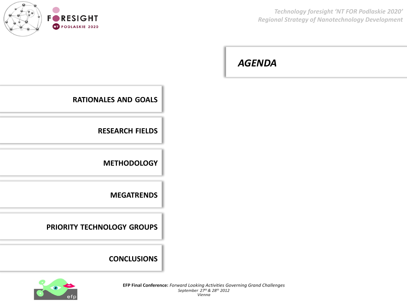

#### *AGENDA*



**PRIORITY TECHNOLOGY GROUPS**

**CONCLUSIONS**

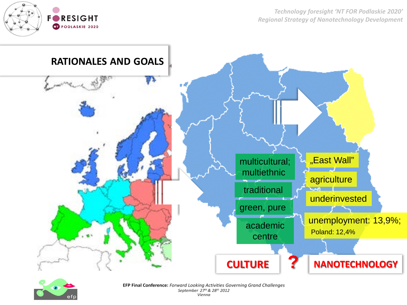



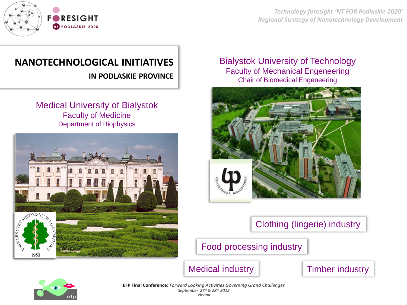

### **NANOTECHNOLOGICAL INITIATIVES**

**IN PODLASKIE PROVINCE**

#### Medical University of Bialystok Faculty of Medicine Department of Biophysics



#### Bialystok University of Technology Faculty of Mechanical Engeneering Chair of Biomedical Engeneering



#### Clothing (lingerie) industry

#### Food processing industry

Medical industry

Timber industry

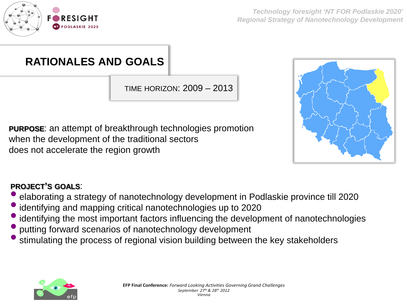

# **RATIONALES AND GOALS**

TIME HORIZON: 2009 – 2013

**PURPOSE**: an attempt of breakthrough technologies promotion when the development of the traditional sectors does not accelerate the region growth

#### **PROJECT'S GOALS**:

- elaborating a strategy of nanotechnology development in Podlaskie province till 2020
- •identifying and mapping critical nanotechnologies up to 2020
- identifying the most important factors influencing the development of nanotechnologies
- putting forward scenarios of nanotechnology development
- stimulating the process of regional vision building between the key stakeholders



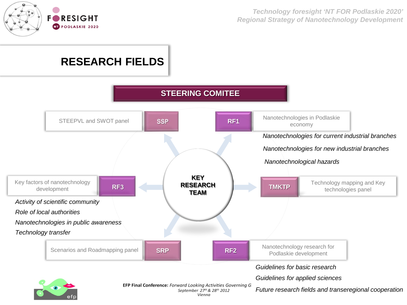

# **RESEARCH FIELDS**



September 27th & 28th 2012

*Future research fields and transeregional cooperation*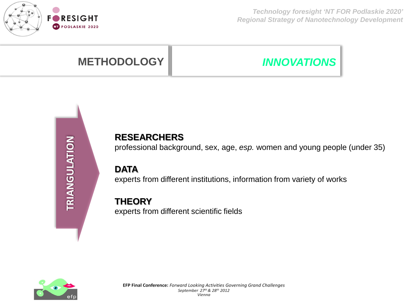

## **METHODOLOGY**

# *INNOVATIONS*

#### **RESEARCHERS**

professional background, sex, age, *esp.* women and young people (under 35)

#### **DATA**

experts from different institutions, information from variety of works

#### **THEORY**

experts from different scientific fields

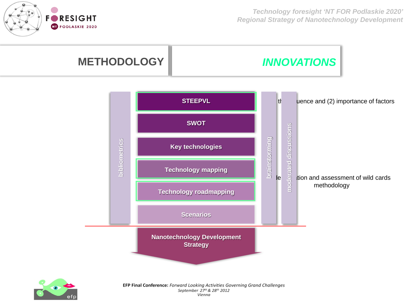



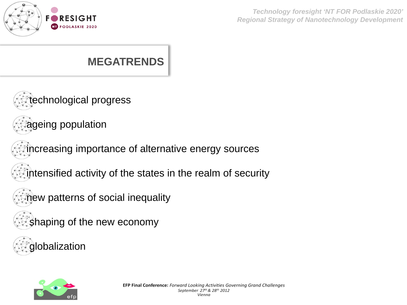

# **MEGATRENDS**

- technological progress
- ageing population
- increasing importance of alternative energy sources
- intensified activity of the states in the realm of security
- new patterns of social inequality
- shaping of the new economy



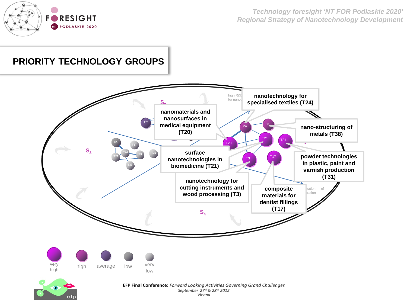

#### **PRIORITY TECHNOLOGY GROUPS**



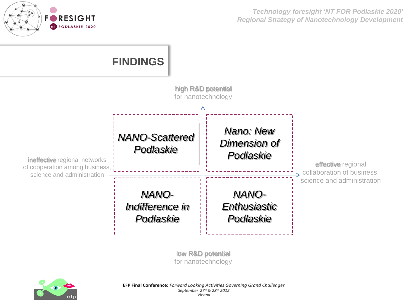



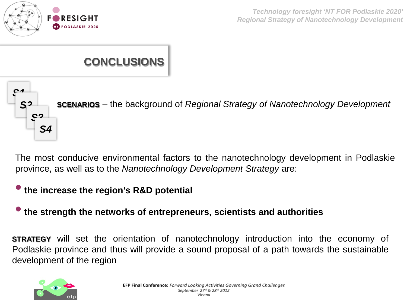

# **CONCLUSIONS**

#### **SCENARIOS** – the background of *Regional Strategy of Nanotechnology Development S1 S2 S3 S4*

The most conducive environmental factors to the nanotechnology development in Podlaskie province, as well as to the *Nanotechnology Development Strategy* are:

#### •**the increase the region's R&D potential**

#### •**the strength the networks of entrepreneurs, scientists and authorities**

**STRATEGY** will set the orientation of nanotechnology introduction into the economy of Podlaskie province and thus will provide a sound proposal of a path towards the sustainable development of the region